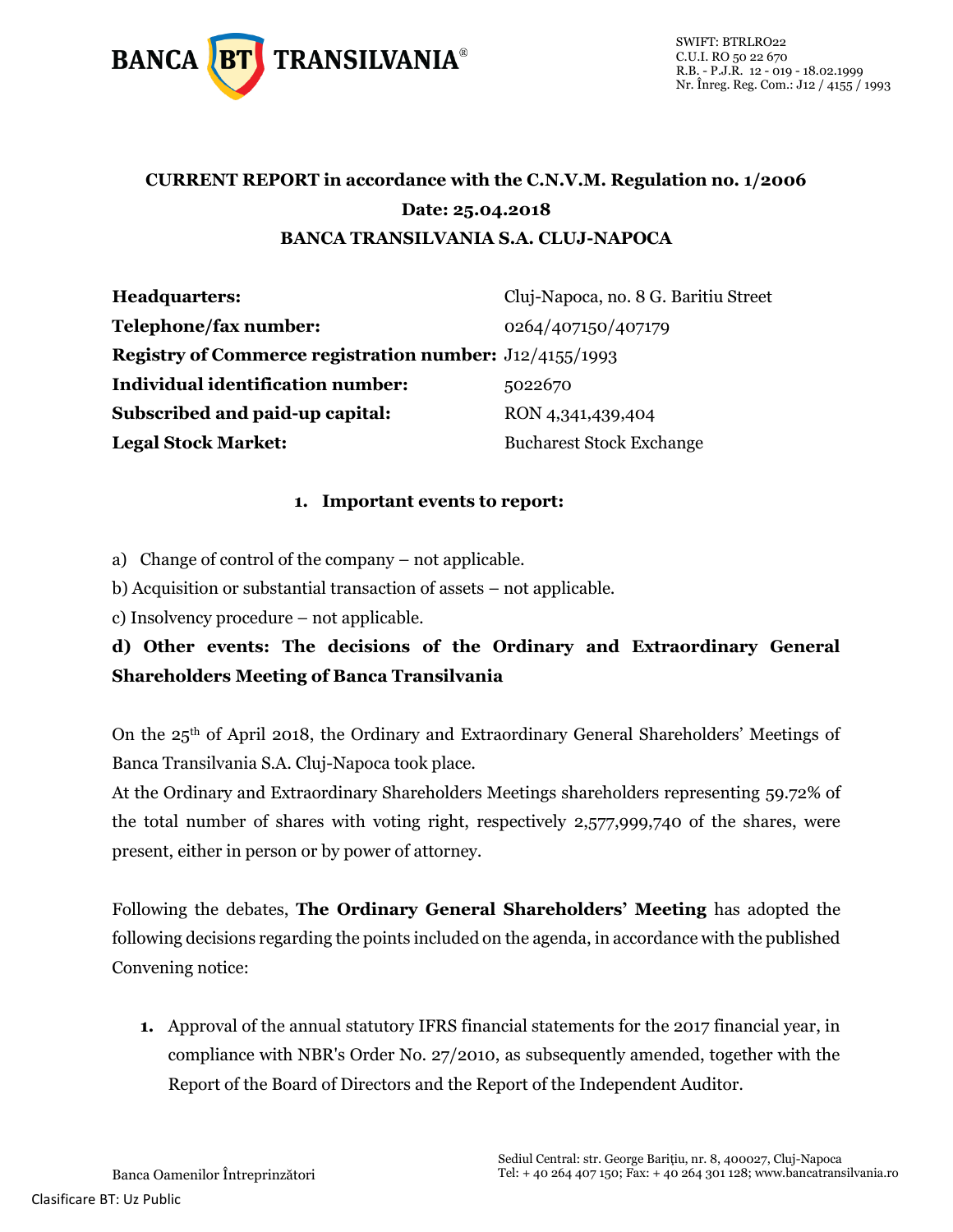

## **CURRENT REPORT in accordance with the C.N.V.M. Regulation no. 1/2006 Date: 25.04.2018 BANCA TRANSILVANIA S.A. CLUJ-NAPOCA**

| <b>Headquarters:</b>                                           | Cluj-Napoca, no. 8 G. Baritiu Street |
|----------------------------------------------------------------|--------------------------------------|
| Telephone/fax number:                                          | 0264/407150/407179                   |
| <b>Registry of Commerce registration number:</b> J12/4155/1993 |                                      |
| <b>Individual identification number:</b>                       | 5022670                              |
| Subscribed and paid-up capital:                                | RON 4,341,439,404                    |
| <b>Legal Stock Market:</b>                                     | <b>Bucharest Stock Exchange</b>      |

#### **1. Important events to report:**

a) Change of control of the company – not applicable.

b) Acquisition or substantial transaction of assets – not applicable.

c) Insolvency procedure – not applicable.

**d) Other events: The decisions of the Ordinary and Extraordinary General Shareholders Meeting of Banca Transilvania**

On the 25th of April 2018, the Ordinary and Extraordinary General Shareholders' Meetings of Banca Transilvania S.A. Cluj-Napoca took place.

At the Ordinary and Extraordinary Shareholders Meetings shareholders representing 59.72% of the total number of shares with voting right, respectively 2,577,999,740 of the shares, were present, either in person or by power of attorney.

Following the debates, **The Ordinary General Shareholders' Meeting** has adopted the following decisions regarding the points included on the agenda, in accordance with the published Convening notice:

**1.** Approval of the annual statutory IFRS financial statements for the 2017 financial year, in compliance with NBR's Order No. 27/2010, as subsequently amended, together with the Report of the Board of Directors and the Report of the Independent Auditor.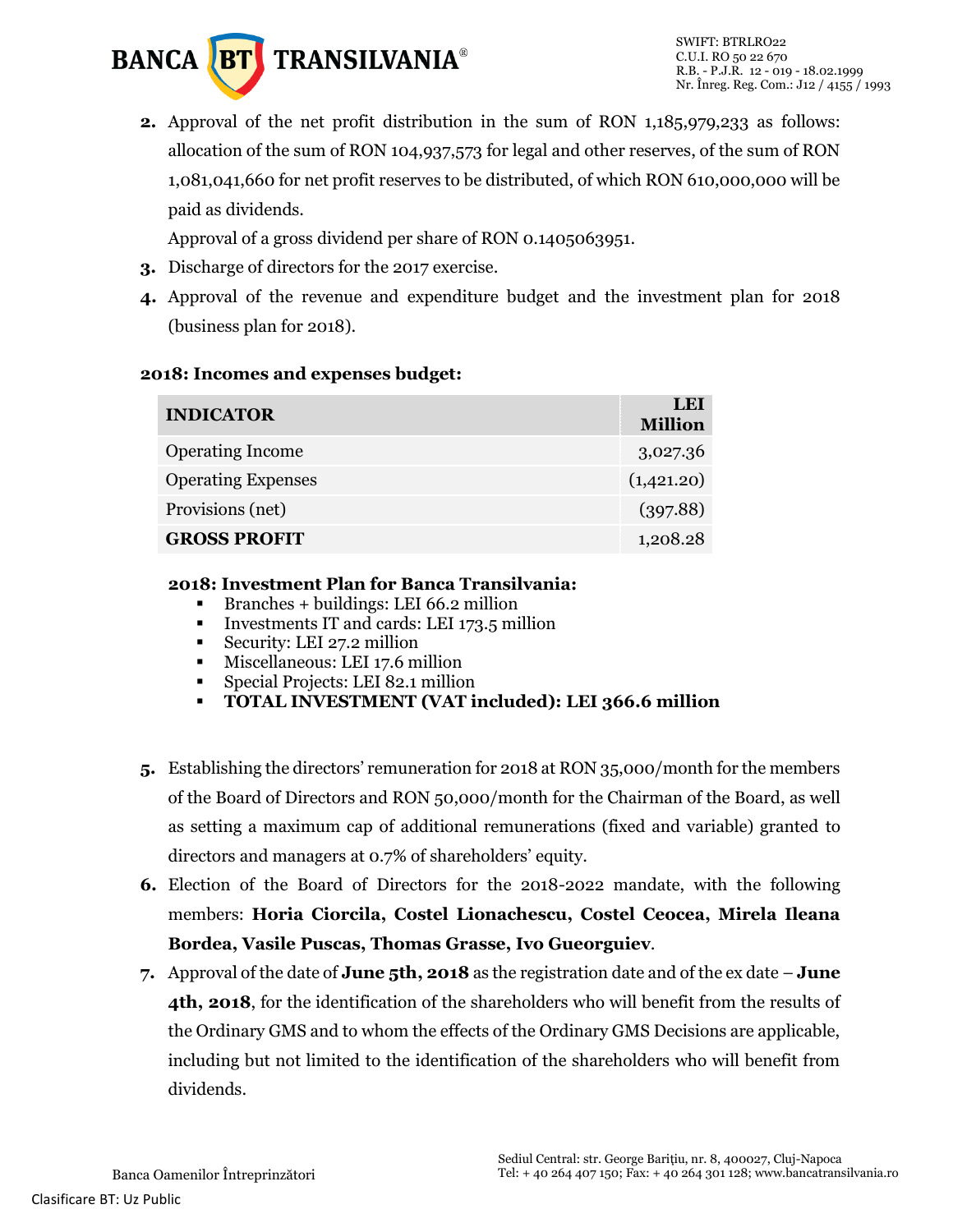

**2.** Approval of the net profit distribution in the sum of RON 1,185,979,233 as follows: allocation of the sum of RON 104,937,573 for legal and other reserves, of the sum of RON 1,081,041,660 for net profit reserves to be distributed, of which RON 610,000,000 will be paid as dividends.

Approval of a gross dividend per share of RON 0.1405063951.

- **3.** Discharge of directors for the 2017 exercise.
- **4.** Approval of the revenue and expenditure budget and the investment plan for 2018 (business plan for 2018).

#### **2018: Incomes and expenses budget:**

| <b>INDICATOR</b>          | LEI<br><b>Million</b> |
|---------------------------|-----------------------|
| <b>Operating Income</b>   | 3,027.36              |
| <b>Operating Expenses</b> | (1,421.20)            |
| Provisions (net)          | (397.88)              |
| <b>GROSS PROFIT</b>       | 1,208.28              |

#### **2018: Investment Plan for Banca Transilvania:**

- $\blacksquare$  Branches + buildings: LEI 66.2 million
- Investments IT and cards: LEI 173.5 million
- Security: LEI 27.2 million
- **Miscellaneous: LEI 17.6 million**
- Special Projects: LEI 82.1 million
- **TOTAL INVESTMENT (VAT included): LEI 366.6 million**
- **5.** Establishing the directors' remuneration for 2018 at RON 35,000/month for the members of the Board of Directors and RON 50,000/month for the Chairman of the Board, as well as setting a maximum cap of additional remunerations (fixed and variable) granted to directors and managers at 0.7% of shareholders' equity.
- **6.** Election of the Board of Directors for the 2018-2022 mandate, with the following members: **Horia Ciorcila, Costel Lionachescu, Costel Ceocea, Mirela Ileana Bordea, Vasile Puscas, Thomas Grasse, Ivo Gueorguiev**.
- **7.** Approval of the date of **June 5th, 2018** as the registration date and of the ex date **June 4th, 2018**, for the identification of the shareholders who will benefit from the results of the Ordinary GMS and to whom the effects of the Ordinary GMS Decisions are applicable, including but not limited to the identification of the shareholders who will benefit from dividends.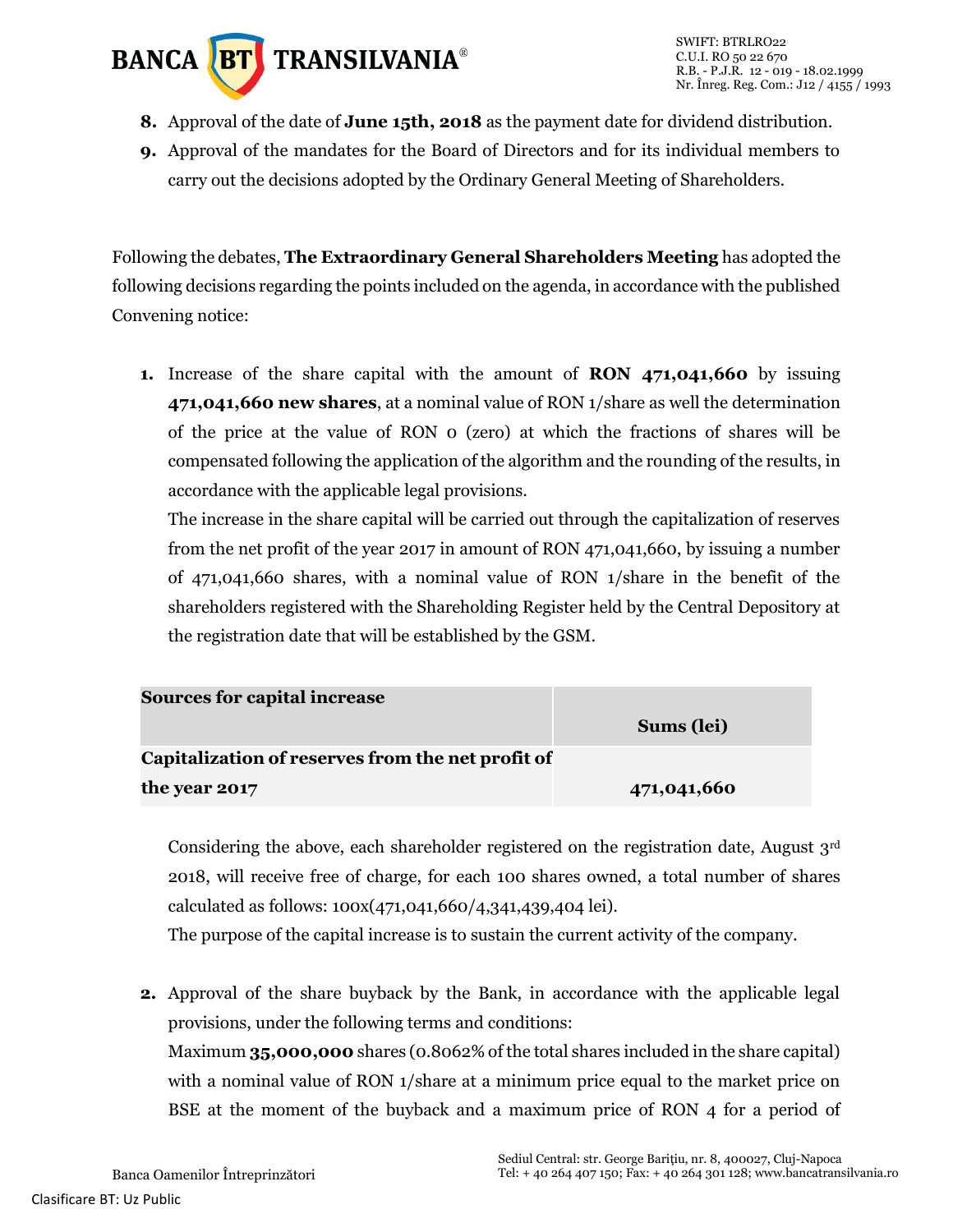# **BANCA BT** TRANSILVANIA<sup>®</sup>

- **8.** Approval of the date of **June 15th, 2018** as the payment date for dividend distribution.
- **9.** Approval of the mandates for the Board of Directors and for its individual members to carry out the decisions adopted by the Ordinary General Meeting of Shareholders.

Following the debates, **The Extraordinary General Shareholders Meeting** has adopted the following decisions regarding the points included on the agenda, in accordance with the published Convening notice:

**1.** Increase of the share capital with the amount of **RON 471,041,660** by issuing **471,041,660 new shares**, at a nominal value of RON 1/share as well the determination of the price at the value of RON 0 (zero) at which the fractions of shares will be compensated following the application of the algorithm and the rounding of the results, in accordance with the applicable legal provisions.

The increase in the share capital will be carried out through the capitalization of reserves from the net profit of the year 2017 in amount of RON 471,041,660, by issuing a number of 471,041,660 shares, with a nominal value of RON 1/share in the benefit of the shareholders registered with the Shareholding Register held by the Central Depository at the registration date that will be established by the GSM.

| <b>Sources for capital increase</b>               |             |  |
|---------------------------------------------------|-------------|--|
|                                                   | Sums (lei)  |  |
| Capitalization of reserves from the net profit of |             |  |
| the year 2017                                     | 471,041,660 |  |

Considering the above, each shareholder registered on the registration date, August  $3<sup>rd</sup>$ 2018, will receive free of charge, for each 100 shares owned, a total number of shares calculated as follows: 100x(471,041,660/4,341,439,404 lei).

The purpose of the capital increase is to sustain the current activity of the company.

**2.** Approval of the share buyback by the Bank, in accordance with the applicable legal provisions, under the following terms and conditions: Maximum **35,000,000** shares (0.8062% of the total shares included in the share capital) with a nominal value of RON 1/share at a minimum price equal to the market price on BSE at the moment of the buyback and a maximum price of RON 4 for a period of